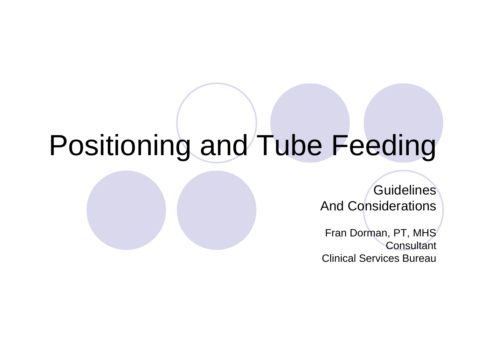# Positioning and Tube Feeding

**Guidelines** And Considerations

Fran Dorman, PT, MHS **Consultant** Clinical Services Bureau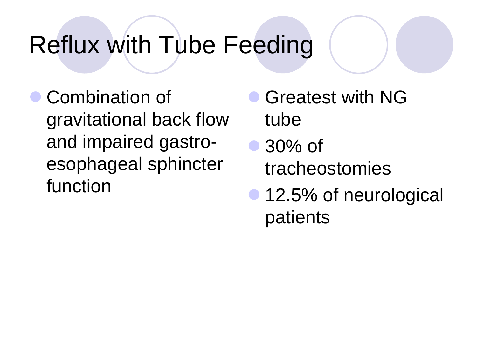## Reflux with Tube Feeding

 Combination of gravitational back flow and impaired gastroesophageal sphincter function

- Greatest with NG tube
- 30% of tracheostomies
- 12.5% of neurological patients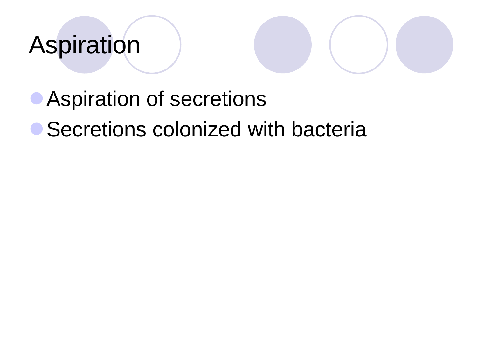# Aspiration



### **• Secretions colonized with bacteria**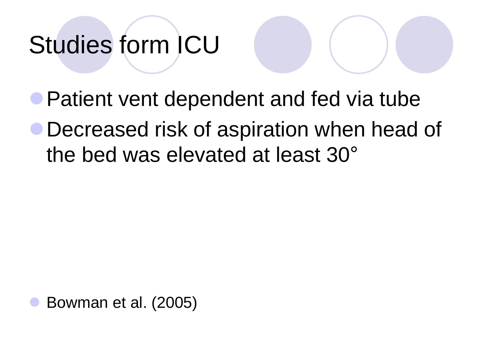# Studies form ICU

- **Patient vent dependent and fed via tube**
- Decreased risk of aspiration when head of the bed was elevated at least 30°

Bowman et al. (2005)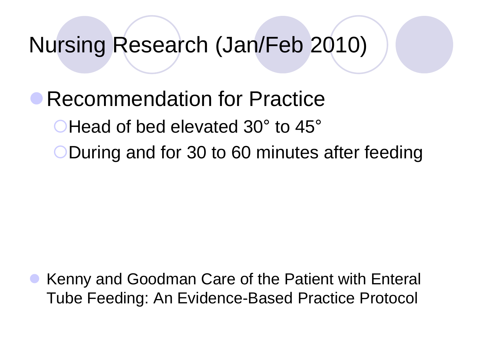### Nursing Research (Jan/Feb 2010)

### Recommendation for Practice **CHead of bed elevated 30° to 45°** During and for 30 to 60 minutes after feeding

 Kenny and Goodman Care of the Patient with Enteral Tube Feeding: An Evidence-Based Practice Protocol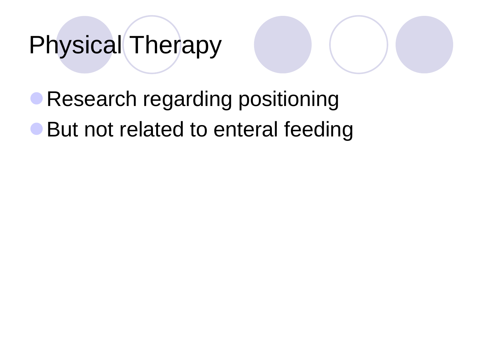## Physical Therapy

**• Research regarding positioning** ● But not related to enteral feeding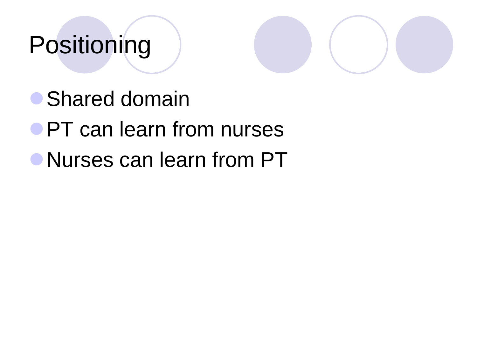# Positioning



- **Shared domain**
- **PT** can learn from nurses
- Nurses can learn from PT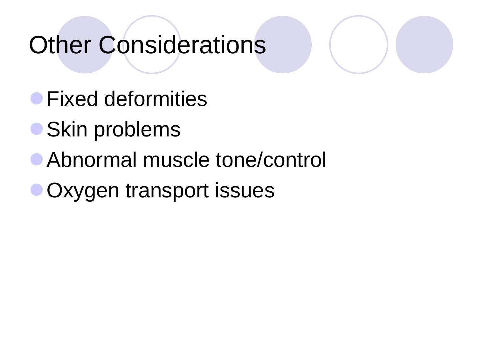### Other Considerations

- **Fixed deformities**
- Skin problems
- Abnormal muscle tone/control
- Oxygen transport issues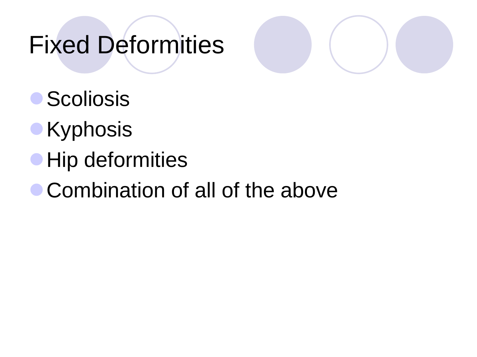## Fixed Deformities



- **Scoliosis**
- **Kyphosis**
- **Hip deformities**
- Combination of all of the above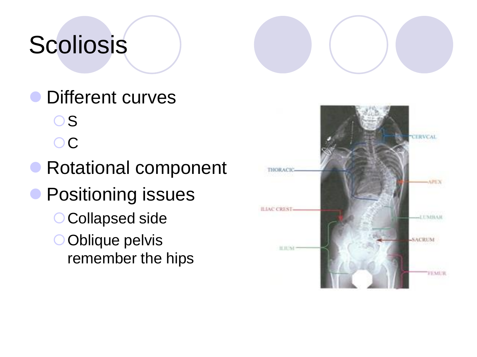# Scoliosis

Different curves

O<sub>S</sub> OC.

- Rotational component
- **Positioning issues** O Collapsed side
	- Oblique pelvis remember the hips

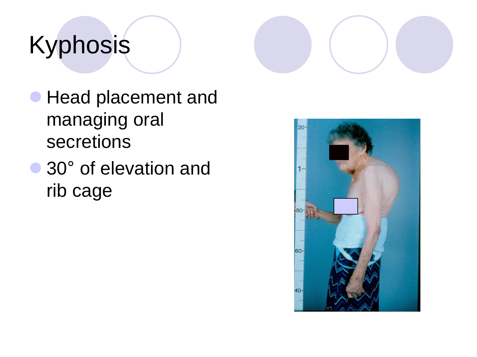# Kyphosis



- **Head placement and** managing oral secretions
- 30° of elevation and rib cage

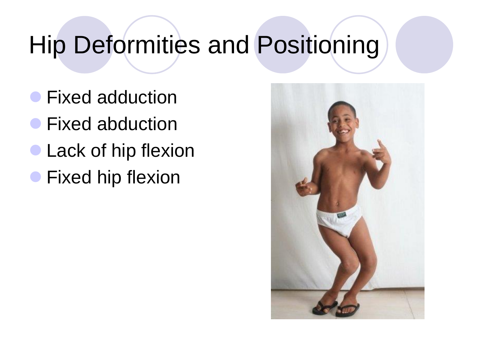# Hip Deformities and Positioning

- **Fixed adduction**
- **Fixed abduction**
- Lack of hip flexion
- **Fixed hip flexion**

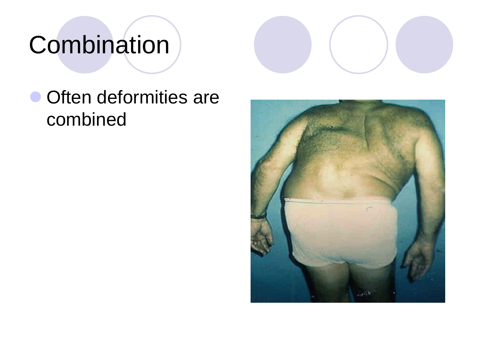# **Combination**



### Often deformities are combined

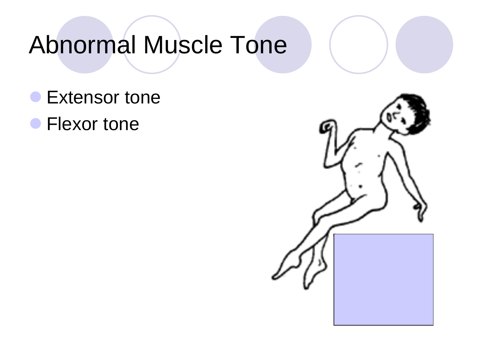# Abnormal Muscle Tone

- **Extensor tone**
- **Flexor tone**

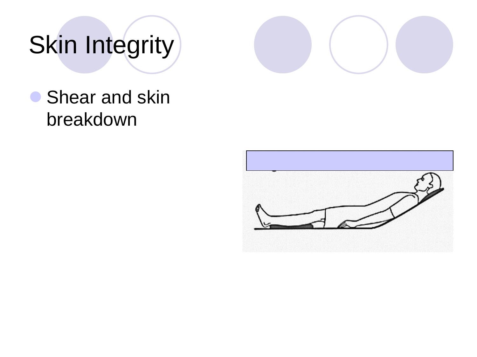# Skin Integrity



### **Shear and skin** breakdown

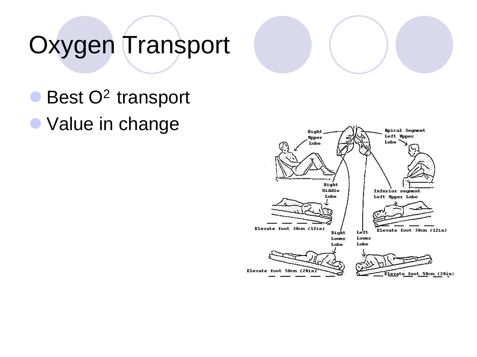# Oxygen Transport

### $\bullet$  Best O<sup>2</sup> transport

• Value in change

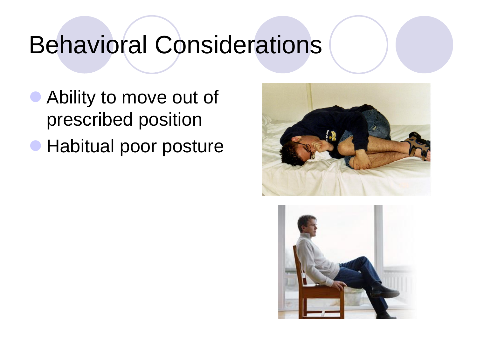### Behavioral Considerations

- **Ability to move out of** prescribed position
- **Habitual poor posture**



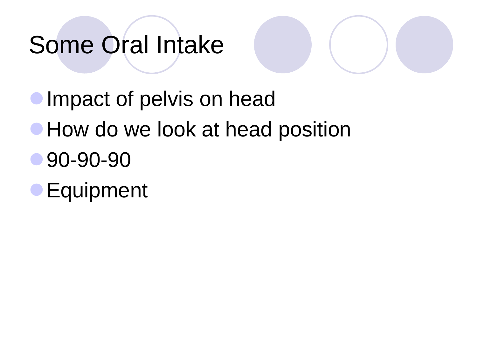# Some Oral Intake



- **Impact of pelvis on head**
- **How do we look at head position**
- 90-90-90
- **Equipment**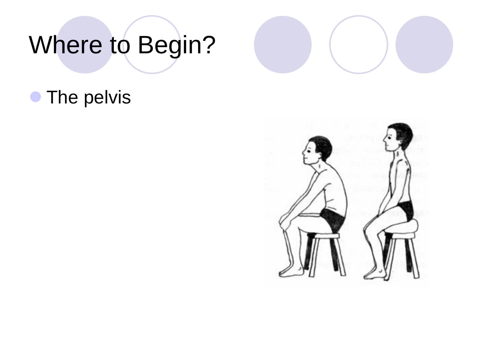# Where to Begin?

### **• The pelvis**



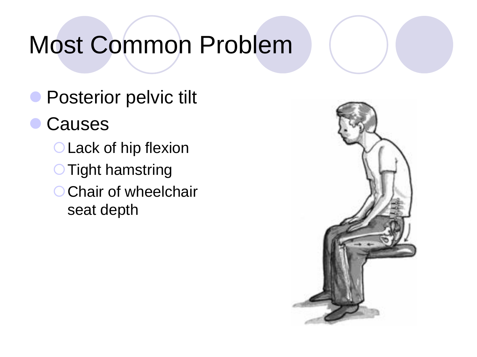# Most Common Problem

- **Posterior pelvic tilt**
- Causes
	- **OLack of hip flexion OTight hamstring** O Chair of wheelchair seat depth

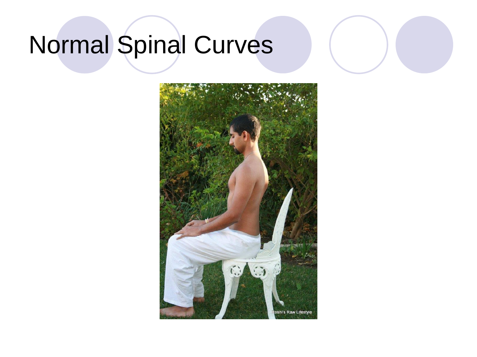# Normal Spinal Curves

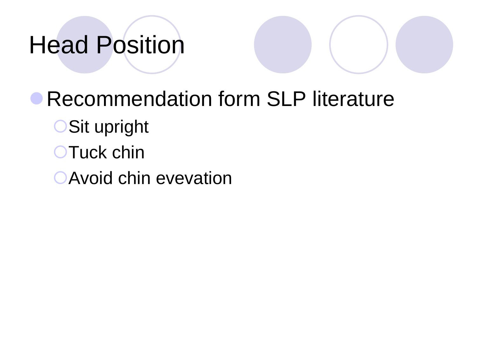# Head Position

**• Recommendation form SLP literature** OSit upright **OTuck chin** Avoid chin evevation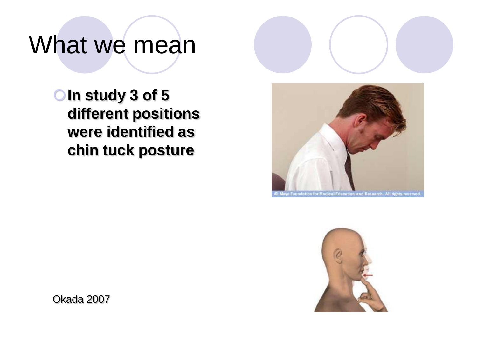## What we mean



**OIn study 3 of 5 different positions were identified as chin tuck posture** 





Okada 2007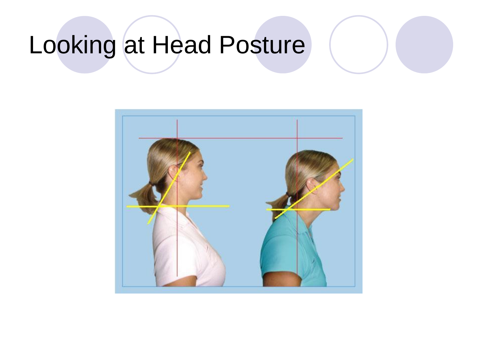# Looking at Head Posture

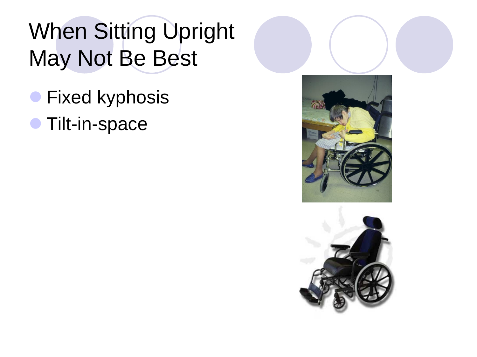### When Sitting Upright May Not Be Best

- **Fixed kyphosis**
- **Tilt-in-space**



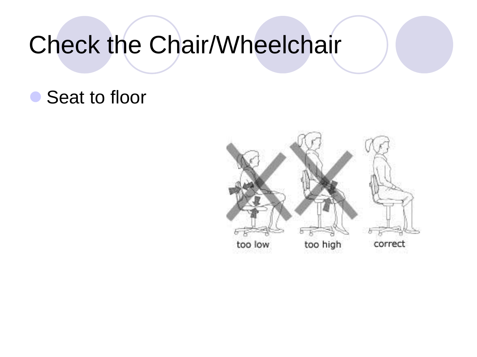## Check the Chair/Wheelchair

### ● Seat to floor

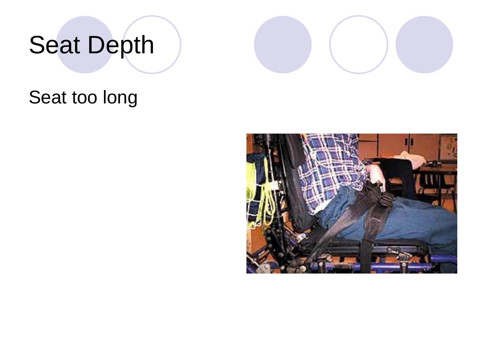# Seat Depth



#### Seat too long

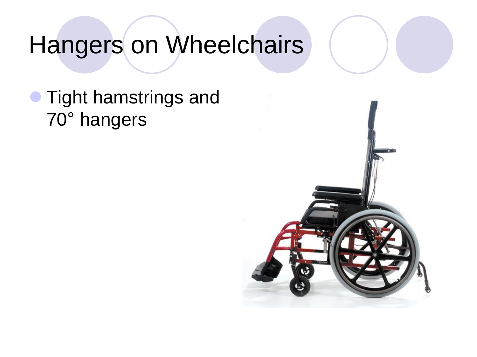### Hangers on Wheelchairs

 Tight hamstrings and 70° hangers